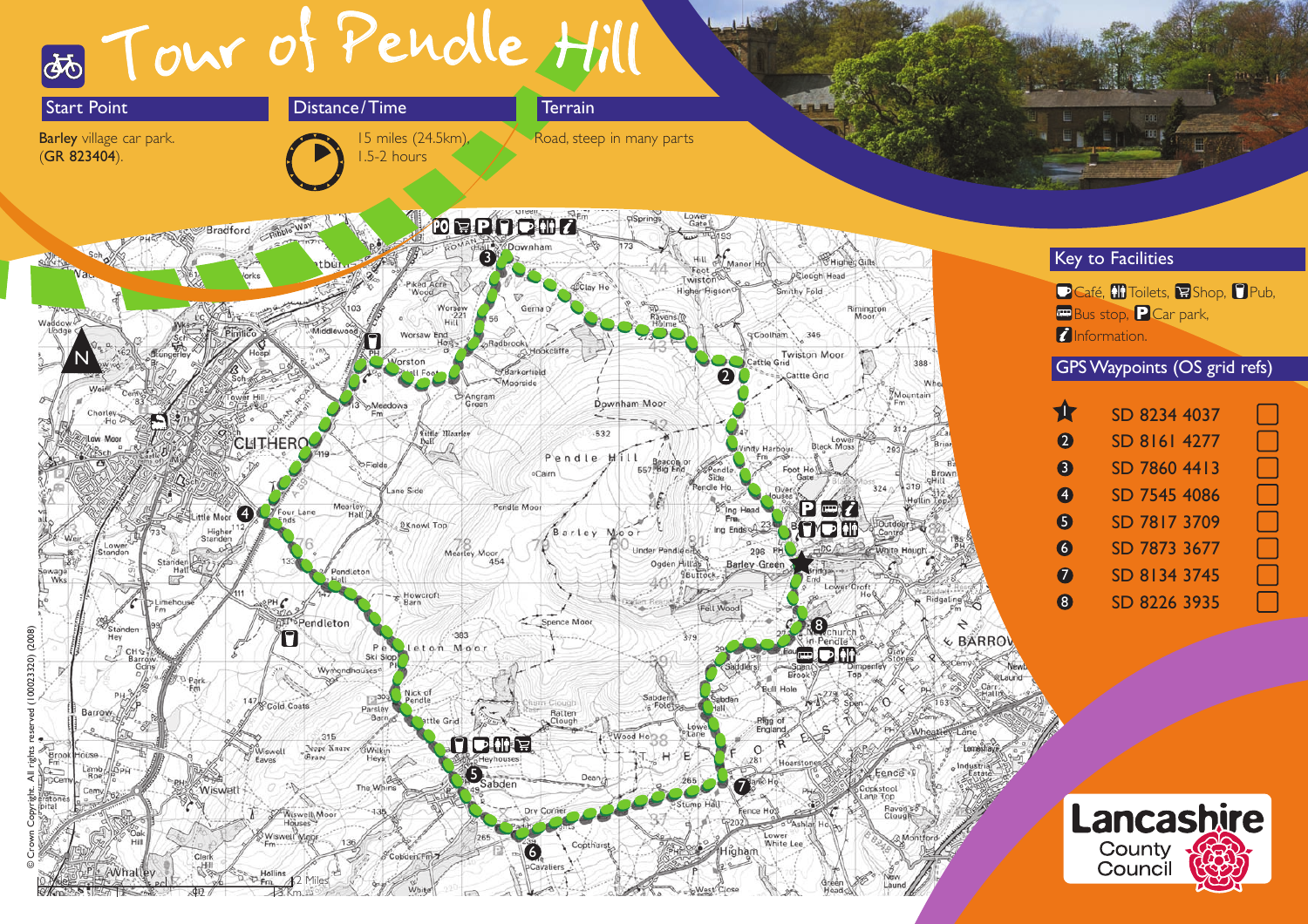